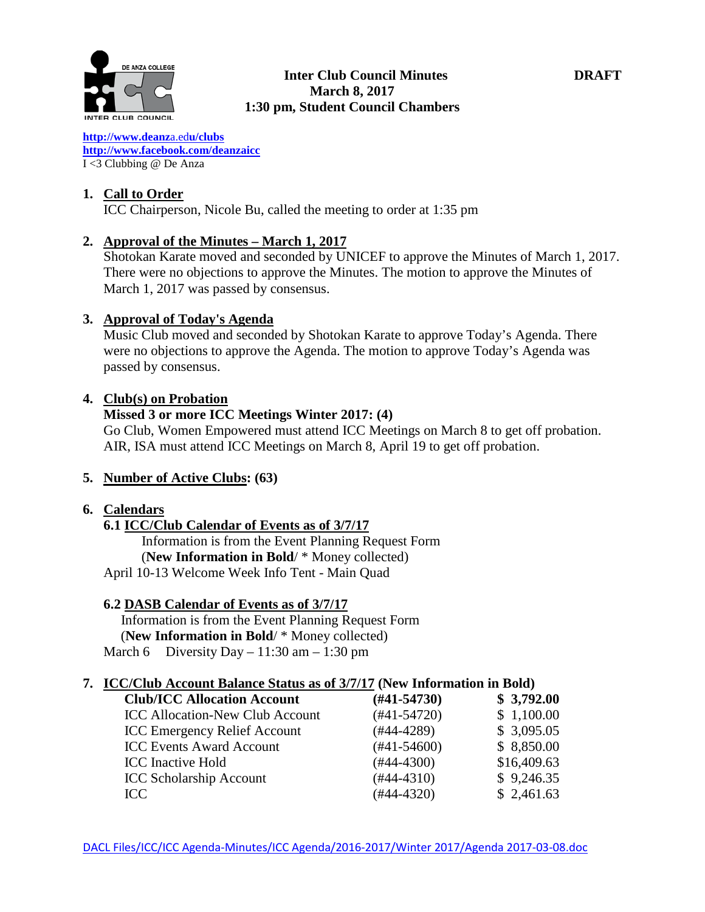

**[http://www.deanz](http://www.deanza.edu/clubs)**[a.ed](http://www.deanza.edu/clubs)**[u/clubs](http://www.deanza.edu/clubs) [http://www.facebook.com/deanzaicc](http://www.facebook.com/home.php#!/group.php?gid=59034552686)** I <3 Clubbing @ De Anza

## **1. Call to Order**

ICC Chairperson, Nicole Bu, called the meeting to order at 1:35 pm

## **2. Approval of the Minutes – March 1, 2017**

Shotokan Karate moved and seconded by UNICEF to approve the Minutes of March 1, 2017. There were no objections to approve the Minutes. The motion to approve the Minutes of March 1, 2017 was passed by consensus.

## **3. Approval of Today's Agenda**

Music Club moved and seconded by Shotokan Karate to approve Today's Agenda. There were no objections to approve the Agenda. The motion to approve Today's Agenda was passed by consensus.

## **4. Club(s) on Probation**

## **Missed 3 or more ICC Meetings Winter 2017: (4)**

Go Club, Women Empowered must attend ICC Meetings on March 8 to get off probation. AIR, ISA must attend ICC Meetings on March 8, April 19 to get off probation.

# **5. Number of Active Clubs: (63)**

### **6. Calendars**

**6.1 ICC/Club Calendar of Events as of 3/7/17** Information is from the Event Planning Request Form (**New Information in Bold**/ \* Money collected) April 10-13 Welcome Week Info Tent - Main Quad

### **6.2 DASB Calendar of Events as of 3/7/17**

Information is from the Event Planning Request Form (**New Information in Bold**/ \* Money collected) March 6 Diversity Day – 11:30 am – 1:30 pm

### **7. ICC/Club Account Balance Status as of 3/7/17 (New Information in Bold)**

| <b>Club/ICC Allocation Account</b>     | $(\#41 - 54730)$ | \$3,792.00  |
|----------------------------------------|------------------|-------------|
| <b>ICC Allocation-New Club Account</b> | $(#41-54720)$    | \$1,100.00  |
| <b>ICC Emergency Relief Account</b>    | $(#44-4289)$     | \$3,095.05  |
| <b>ICC Events Award Account</b>        | $(#41-54600)$    | \$8,850.00  |
| <b>ICC</b> Inactive Hold               | $(#44-4300)$     | \$16,409.63 |
| <b>ICC Scholarship Account</b>         | $(#44-4310)$     | \$9,246.35  |
| ICC                                    | $(#44-4320)$     | \$2,461.63  |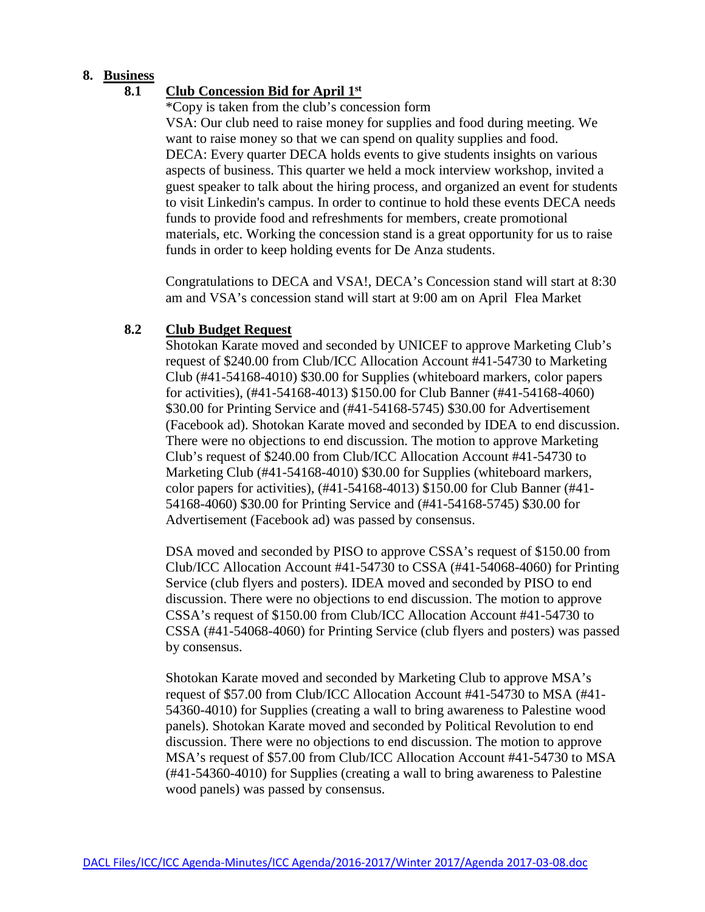## **8. Business**

## **8.1 Club Concession Bid for April 1st**

\*Copy is taken from the club's concession form

VSA: Our club need to raise money for supplies and food during meeting. We want to raise money so that we can spend on quality supplies and food. DECA: Every quarter DECA holds events to give students insights on various aspects of business. This quarter we held a mock interview workshop, invited a guest speaker to talk about the hiring process, and organized an event for students to visit Linkedin's campus. In order to continue to hold these events DECA needs funds to provide food and refreshments for members, create promotional materials, etc. Working the concession stand is a great opportunity for us to raise funds in order to keep holding events for De Anza students.

Congratulations to DECA and VSA!, DECA's Concession stand will start at 8:30 am and VSA's concession stand will start at 9:00 am on April Flea Market

### **8.2 Club Budget Request**

Shotokan Karate moved and seconded by UNICEF to approve Marketing Club's request of \$240.00 from Club/ICC Allocation Account #41-54730 to Marketing Club (#41-54168-4010) \$30.00 for Supplies (whiteboard markers, color papers for activities), (#41-54168-4013) \$150.00 for Club Banner (#41-54168-4060) \$30.00 for Printing Service and (#41-54168-5745) \$30.00 for Advertisement (Facebook ad). Shotokan Karate moved and seconded by IDEA to end discussion. There were no objections to end discussion. The motion to approve Marketing Club's request of \$240.00 from Club/ICC Allocation Account #41-54730 to Marketing Club (#41-54168-4010) \$30.00 for Supplies (whiteboard markers, color papers for activities), (#41-54168-4013) \$150.00 for Club Banner (#41- 54168-4060) \$30.00 for Printing Service and (#41-54168-5745) \$30.00 for Advertisement (Facebook ad) was passed by consensus.

DSA moved and seconded by PISO to approve CSSA's request of \$150.00 from Club/ICC Allocation Account #41-54730 to CSSA (#41-54068-4060) for Printing Service (club flyers and posters). IDEA moved and seconded by PISO to end discussion. There were no objections to end discussion. The motion to approve CSSA's request of \$150.00 from Club/ICC Allocation Account #41-54730 to CSSA (#41-54068-4060) for Printing Service (club flyers and posters) was passed by consensus.

Shotokan Karate moved and seconded by Marketing Club to approve MSA's request of \$57.00 from Club/ICC Allocation Account #41-54730 to MSA (#41- 54360-4010) for Supplies (creating a wall to bring awareness to Palestine wood panels). Shotokan Karate moved and seconded by Political Revolution to end discussion. There were no objections to end discussion. The motion to approve MSA's request of \$57.00 from Club/ICC Allocation Account #41-54730 to MSA (#41-54360-4010) for Supplies (creating a wall to bring awareness to Palestine wood panels) was passed by consensus.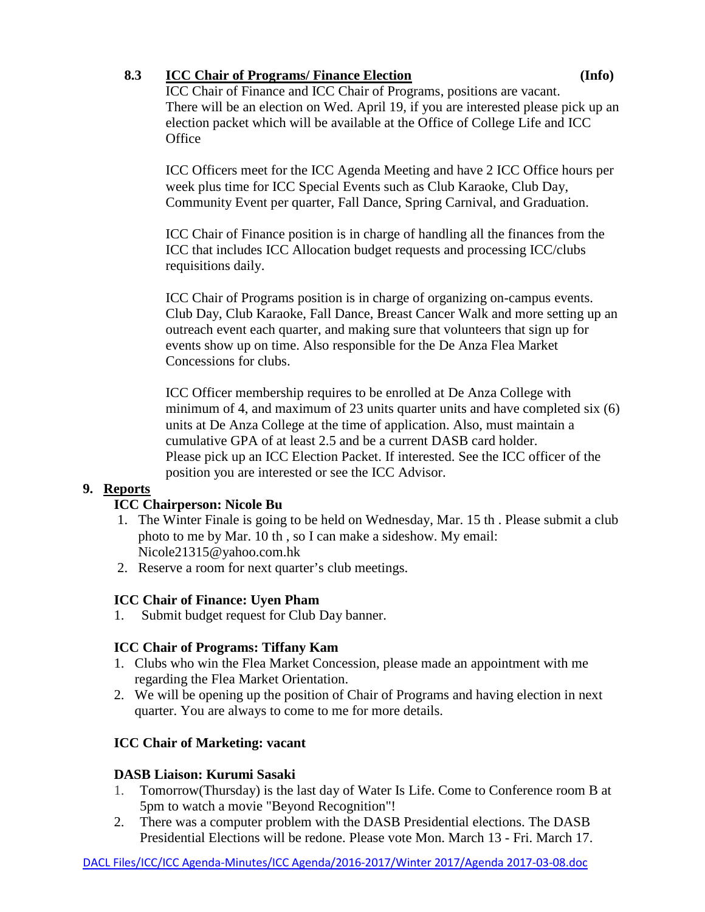# **8.3 ICC Chair of Programs/ Finance Election (Info)**

ICC Chair of Finance and ICC Chair of Programs, positions are vacant. There will be an election on Wed. April 19, if you are interested please pick up an election packet which will be available at the Office of College Life and ICC **Office** 

ICC Officers meet for the ICC Agenda Meeting and have 2 ICC Office hours per week plus time for ICC Special Events such as Club Karaoke, Club Day, Community Event per quarter, Fall Dance, Spring Carnival, and Graduation.

ICC Chair of Finance position is in charge of handling all the finances from the ICC that includes ICC Allocation budget requests and processing ICC/clubs requisitions daily.

ICC Chair of Programs position is in charge of organizing on-campus events. Club Day, Club Karaoke, Fall Dance, Breast Cancer Walk and more setting up an outreach event each quarter, and making sure that volunteers that sign up for events show up on time. Also responsible for the De Anza Flea Market Concessions for clubs.

ICC Officer membership requires to be enrolled at De Anza College with minimum of 4, and maximum of 23 units quarter units and have completed six (6) units at De Anza College at the time of application. Also, must maintain a cumulative GPA of at least 2.5 and be a current DASB card holder. Please pick up an ICC Election Packet. If interested. See the ICC officer of the position you are interested or see the ICC Advisor.

# **9. Reports**

# **ICC Chairperson: Nicole Bu**

- 1. The Winter Finale is going to be held on Wednesday, Mar. 15 th . Please submit a club photo to me by Mar. 10 th , so I can make a sideshow. My email: Nicole21315@yahoo.com.hk
- 2. Reserve a room for next quarter's club meetings.

# **ICC Chair of Finance: Uyen Pham**

1. Submit budget request for Club Day banner.

# **ICC Chair of Programs: Tiffany Kam**

- 1. Clubs who win the Flea Market Concession, please made an appointment with me regarding the Flea Market Orientation.
- 2. We will be opening up the position of Chair of Programs and having election in next quarter. You are always to come to me for more details.

# **ICC Chair of Marketing: vacant**

# **DASB Liaison: Kurumi Sasaki**

- 1. Tomorrow(Thursday) is the last day of Water Is Life. Come to Conference room B at 5pm to watch a movie "Beyond Recognition"!
- 2. There was a computer problem with the DASB Presidential elections. The DASB Presidential Elections will be redone. Please vote Mon. March 13 - Fri. March 17.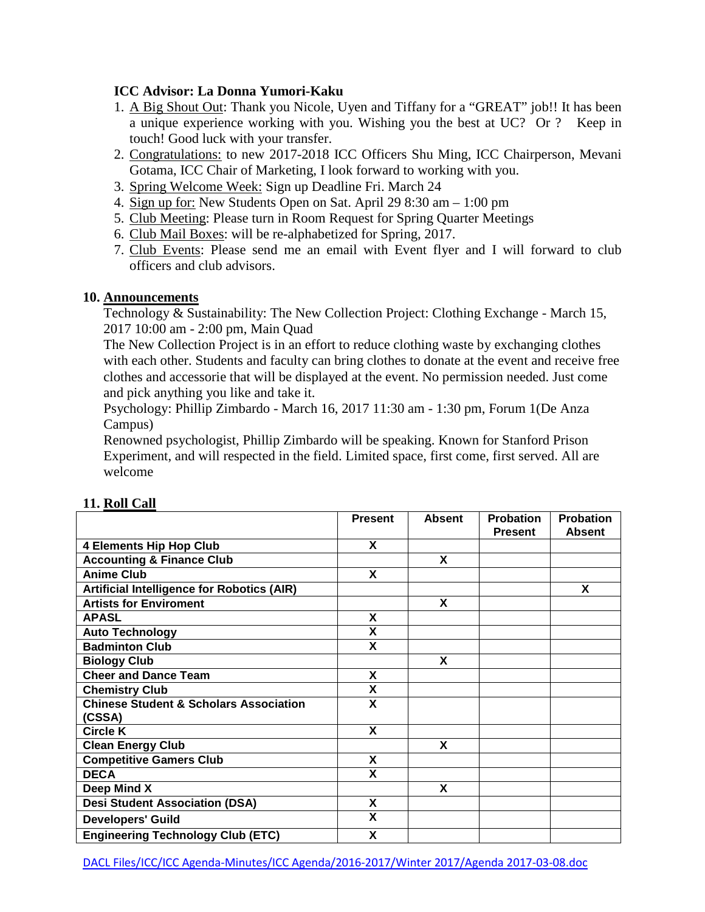# **ICC Advisor: La Donna Yumori-Kaku**

- 1. A Big Shout Out: Thank you Nicole, Uyen and Tiffany for a "GREAT" job!! It has been a unique experience working with you. Wishing you the best at UC? Or ? Keep in touch! Good luck with your transfer.
- 2. Congratulations: to new 2017-2018 ICC Officers Shu Ming, ICC Chairperson, Mevani Gotama, ICC Chair of Marketing, I look forward to working with you.
- 3. Spring Welcome Week: Sign up Deadline Fri. March 24
- 4. Sign up for: New Students Open on Sat. April 29 8:30 am 1:00 pm
- 5. Club Meeting: Please turn in Room Request for Spring Quarter Meetings
- 6. Club Mail Boxes: will be re-alphabetized for Spring, 2017.
- 7. Club Events: Please send me an email with Event flyer and I will forward to club officers and club advisors.

### **10. Announcements**

Technology & Sustainability: The New Collection Project: Clothing Exchange - March 15, 2017 10:00 am - 2:00 pm, Main Quad

The New Collection Project is in an effort to reduce clothing waste by exchanging clothes with each other. Students and faculty can bring clothes to donate at the event and receive free clothes and accessorie that will be displayed at the event. No permission needed. Just come and pick anything you like and take it.

Psychology: Phillip Zimbardo - March 16, 2017 11:30 am - 1:30 pm, Forum 1(De Anza Campus)

Renowned psychologist, Phillip Zimbardo will be speaking. Known for Stanford Prison Experiment, and will respected in the field. Limited space, first come, first served. All are welcome

|                                                             | <b>Present</b>          | <b>Absent</b> | <b>Probation</b><br><b>Present</b> | <b>Probation</b><br><b>Absent</b> |
|-------------------------------------------------------------|-------------------------|---------------|------------------------------------|-----------------------------------|
| <b>4 Elements Hip Hop Club</b>                              | X                       |               |                                    |                                   |
| <b>Accounting &amp; Finance Club</b>                        |                         | X             |                                    |                                   |
| <b>Anime Club</b>                                           | X                       |               |                                    |                                   |
| <b>Artificial Intelligence for Robotics (AIR)</b>           |                         |               |                                    | X                                 |
| <b>Artists for Enviroment</b>                               |                         | X             |                                    |                                   |
| <b>APASL</b>                                                | X                       |               |                                    |                                   |
| <b>Auto Technology</b>                                      | X                       |               |                                    |                                   |
| <b>Badminton Club</b>                                       | $\overline{\mathsf{x}}$ |               |                                    |                                   |
| <b>Biology Club</b>                                         |                         | X             |                                    |                                   |
| <b>Cheer and Dance Team</b>                                 | X                       |               |                                    |                                   |
| <b>Chemistry Club</b>                                       | X                       |               |                                    |                                   |
| <b>Chinese Student &amp; Scholars Association</b><br>(CSSA) | X                       |               |                                    |                                   |
| <b>Circle K</b>                                             | X                       |               |                                    |                                   |
| <b>Clean Energy Club</b>                                    |                         | X             |                                    |                                   |
| <b>Competitive Gamers Club</b>                              | X                       |               |                                    |                                   |
| <b>DECA</b>                                                 | X                       |               |                                    |                                   |
| Deep Mind X                                                 |                         | X             |                                    |                                   |
| <b>Desi Student Association (DSA)</b>                       | X                       |               |                                    |                                   |
| <b>Developers' Guild</b>                                    | X                       |               |                                    |                                   |
| <b>Engineering Technology Club (ETC)</b>                    | X                       |               |                                    |                                   |

#### **11. Roll Call**